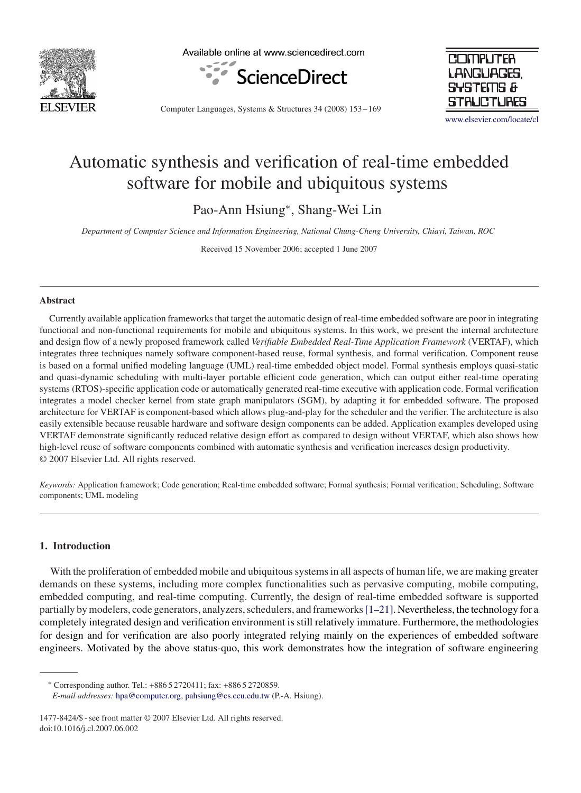

Available online at www.sciencedirect.com





Computer Languages, Systems & Structures 34 (2008) 153 – 169

# Automatic synthesis and verification of real-time embedded software for mobile and ubiquitous systems

Pao-Ann Hsiung<sup>∗</sup>, Shang-Wei Lin

*Department of Computer Science and Information Engineering, National Chung-Cheng University, Chiayi, Taiwan, ROC*

Received 15 November 2006; accepted 1 June 2007

#### **Abstract**

Currently available application frameworks that target the automatic design of real-time embedded software are poor in integrating functional and non-functional requirements for mobile and ubiquitous systems. In this work, we present the internal architecture and design flow of a newly proposed framework called *Verifiable Embedded Real-Time Application Framework* (VERTAF), which integrates three techniques namely software component-based reuse, formal synthesis, and formal verification. Component reuse is based on a formal unified modeling language (UML) real-time embedded object model. Formal synthesis employs quasi-static and quasi-dynamic scheduling with multi-layer portable efficient code generation, which can output either real-time operating systems (RTOS)-specific application code or automatically generated real-time executive with application code. Formal verification integrates a model checker kernel from state graph manipulators (SGM), by adapting it for embedded software. The proposed architecture for VERTAF is component-based which allows plug-and-play for the scheduler and the verifier. The architecture is also easily extensible because reusable hardware and software design components can be added. Application examples developed using VERTAF demonstrate significantly reduced relative design effort as compared to design without VERTAF, which also shows how high-level reuse of software components combined with automatic synthesis and verification increases design productivity. © 2007 Elsevier Ltd. All rights reserved.

*Keywords:* Application framework; Code generation; Real-time embedded software; Formal synthesis; Formal verification; Scheduling; Software components; UML modeling

### **1. Introduction**

With the proliferation of embedded mobile and ubiquitous systems in all aspects of human life, we are making greater demands on these systems, including more complex functionalities such as pervasive computing, mobile computing, embedded computing, and real-time computing. Currently, the design of real-time embedded software is supported partially by modelers, code generators, analyzers, schedulers, and frameworks[1–21]. Nevertheless, the technology for a completely integrated design and verification environment is still relatively immature. Furthermore, the methodologies for design and for verification are also poorly integrated relying mainly on the experiences of embedded software engineers. Motivated by the above status-quo, this work demonstrates how the integration of software engineering

<sup>∗</sup> Corresponding author. Tel.: +886 5 2720411; fax: +886 5 2720859.

*E-mail addresses:* [hpa@computer.org,](mailto:hpa@computer.org) [pahsiung@cs.ccu.edu.tw](mailto:pahsiung@cs.ccu.edu.tw) (P.-A. Hsiung).

<sup>1477-8424/\$ -</sup> see front matter © 2007 Elsevier Ltd. All rights reserved. doi:10.1016/j.cl.2007.06.002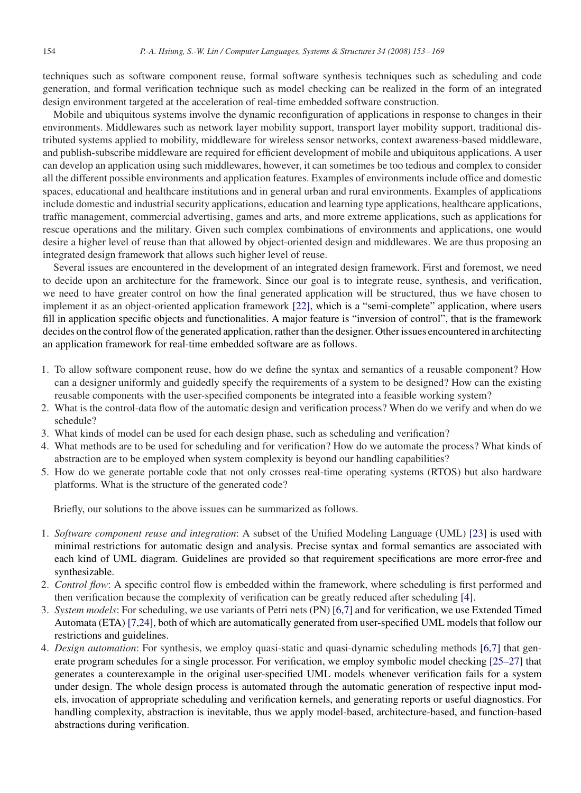techniques such as software component reuse, formal software synthesis techniques such as scheduling and code generation, and formal verification technique such as model checking can be realized in the form of an integrated design environment targeted at the acceleration of real-time embedded software construction.

Mobile and ubiquitous systems involve the dynamic reconfiguration of applications in response to changes in their environments. Middlewares such as network layer mobility support, transport layer mobility support, traditional distributed systems applied to mobility, middleware for wireless sensor networks, context awareness-based middleware, and publish-subscribe middleware are required for efficient development of mobile and ubiquitous applications. A user can develop an application using such middlewares, however, it can sometimes be too tedious and complex to consider all the different possible environments and application features. Examples of environments include office and domestic spaces, educational and healthcare institutions and in general urban and rural environments. Examples of applications include domestic and industrial security applications, education and learning type applications, healthcare applications, traffic management, commercial advertising, games and arts, and more extreme applications, such as applications for rescue operations and the military. Given such complex combinations of environments and applications, one would desire a higher level of reuse than that allowed by object-oriented design and middlewares. We are thus proposing an integrated design framework that allows such higher level of reuse.

Several issues are encountered in the development of an integrated design framework. First and foremost, we need to decide upon an architecture for the framework. Since our goal is to integrate reuse, synthesis, and verification, we need to have greater control on how the final generated application will be structured, thus we have chosen to implement it as an object-oriented application framework [\[22\],](#page-16-0) which is a "semi-complete" application, where users fill in application specific objects and functionalities. A major feature is "inversion of control", that is the framework decides on the control flow of the generated application, rather than the designer. Other issues encountered in architecting an application framework for real-time embedded software are as follows.

- 1. To allow software component reuse, how do we define the syntax and semantics of a reusable component? How can a designer uniformly and guidedly specify the requirements of a system to be designed? How can the existing reusable components with the user-specified components be integrated into a feasible working system?
- 2. What is the control-data flow of the automatic design and verification process? When do we verify and when do we schedule?
- 3. What kinds of model can be used for each design phase, such as scheduling and verification?
- 4. What methods are to be used for scheduling and for verification? How do we automate the process? What kinds of abstraction are to be employed when system complexity is beyond our handling capabilities?
- 5. How do we generate portable code that not only crosses real-time operating systems (RTOS) but also hardware platforms. What is the structure of the generated code?

Briefly, our solutions to the above issues can be summarized as follows.

- 1. *Software component reuse and integration*: A subset of the Unified Modeling Language (UML) [\[23\]](#page-16-0) is used with minimal restrictions for automatic design and analysis. Precise syntax and formal semantics are associated with each kind of UML diagram. Guidelines are provided so that requirement specifications are more error-free and synthesizable.
- 2. *Control flow*: A specific control flow is embedded within the framework, where scheduling is first performed and then verification because the complexity of verification can be greatly reduced after scheduling [\[4\].](#page-15-0)
- 3. *System models*: For scheduling, we use variants of Petri nets (PN) [6,7] and for verification, we use Extended Timed Automata (ETA) [7,24], both of which are automatically generated from user-specified UML models that follow our restrictions and guidelines.
- 4. *Design automation*: For synthesis, we employ quasi-static and quasi-dynamic scheduling methods [6,7] that generate program schedules for a single processor. For verification, we employ symbolic model checking [25–27] that generates a counterexample in the original user-specified UML models whenever verification fails for a system under design. The whole design process is automated through the automatic generation of respective input models, invocation of appropriate scheduling and verification kernels, and generating reports or useful diagnostics. For handling complexity, abstraction is inevitable, thus we apply model-based, architecture-based, and function-based abstractions during verification.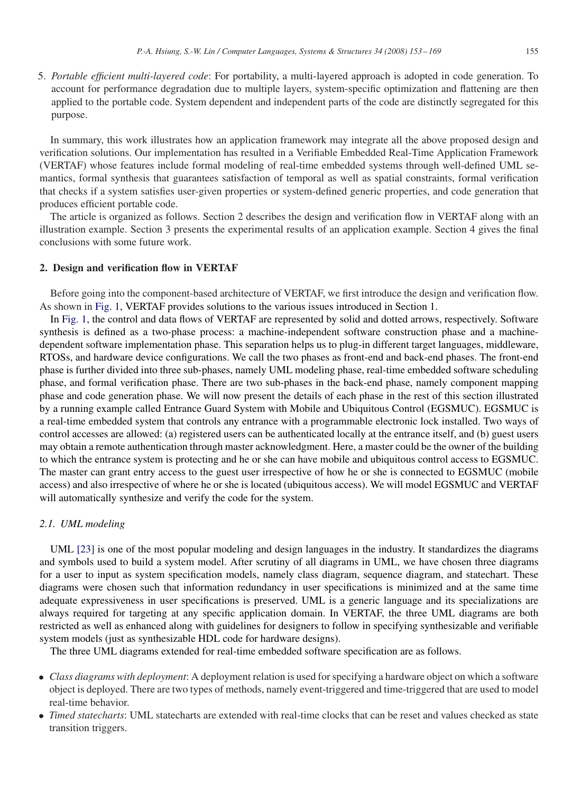5. *Portable efficient multi-layered code*: For portability, a multi-layered approach is adopted in code generation. To account for performance degradation due to multiple layers, system-specific optimization and flattening are then applied to the portable code. System dependent and independent parts of the code are distinctly segregated for this purpose.

In summary, this work illustrates how an application framework may integrate all the above proposed design and verification solutions. Our implementation has resulted in a Verifiable Embedded Real-Time Application Framework (VERTAF) whose features include formal modeling of real-time embedded systems through well-defined UML semantics, formal synthesis that guarantees satisfaction of temporal as well as spatial constraints, formal verification that checks if a system satisfies user-given properties or system-defined generic properties, and code generation that produces efficient portable code.

The article is organized as follows. Section 2 describes the design and verification flow in VERTAF along with an illustration example. Section 3 presents the experimental results of an application example. Section 4 gives the final conclusions with some future work.

# **2. Design and verification flow in VERTAF**

Before going into the component-based architecture of VERTAF, we first introduce the design and verification flow. As shown in [Fig. 1,](#page-3-0) VERTAF provides solutions to the various issues introduced in Section 1.

In [Fig. 1,](#page-3-0) the control and data flows of VERTAF are represented by solid and dotted arrows, respectively. Software synthesis is defined as a two-phase process: a machine-independent software construction phase and a machinedependent software implementation phase. This separation helps us to plug-in different target languages, middleware, RTOSs, and hardware device configurations. We call the two phases as front-end and back-end phases. The front-end phase is further divided into three sub-phases, namely UML modeling phase, real-time embedded software scheduling phase, and formal verification phase. There are two sub-phases in the back-end phase, namely component mapping phase and code generation phase. We will now present the details of each phase in the rest of this section illustrated by a running example called Entrance Guard System with Mobile and Ubiquitous Control (EGSMUC). EGSMUC is a real-time embedded system that controls any entrance with a programmable electronic lock installed. Two ways of control accesses are allowed: (a) registered users can be authenticated locally at the entrance itself, and (b) guest users may obtain a remote authentication through master acknowledgment. Here, a master could be the owner of the building to which the entrance system is protecting and he or she can have mobile and ubiquitous control access to EGSMUC. The master can grant entry access to the guest user irrespective of how he or she is connected to EGSMUC (mobile access) and also irrespective of where he or she is located (ubiquitous access). We will model EGSMUC and VERTAF will automatically synthesize and verify the code for the system.

## *2.1. UML modeling*

UML [\[23\]](#page-16-0) is one of the most popular modeling and design languages in the industry. It standardizes the diagrams and symbols used to build a system model. After scrutiny of all diagrams in UML, we have chosen three diagrams for a user to input as system specification models, namely class diagram, sequence diagram, and statechart. These diagrams were chosen such that information redundancy in user specifications is minimized and at the same time adequate expressiveness in user specifications is preserved. UML is a generic language and its specializations are always required for targeting at any specific application domain. In VERTAF, the three UML diagrams are both restricted as well as enhanced along with guidelines for designers to follow in specifying synthesizable and verifiable system models (just as synthesizable HDL code for hardware designs).

The three UML diagrams extended for real-time embedded software specification are as follows.

- *Class diagrams with deployment*: A deployment relation is used for specifying a hardware object on which a software object is deployed. There are two types of methods, namely event-triggered and time-triggered that are used to model real-time behavior.
- *Timed statecharts*: UML statecharts are extended with real-time clocks that can be reset and values checked as state transition triggers.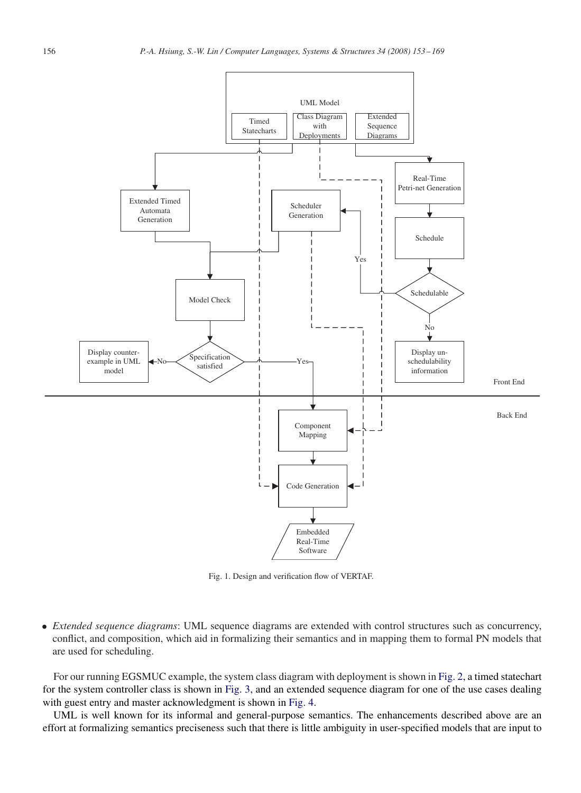<span id="page-3-0"></span>

Fig. 1. Design and verification flow of VERTAF.

• *Extended sequence diagrams*: UML sequence diagrams are extended with control structures such as concurrency, conflict, and composition, which aid in formalizing their semantics and in mapping them to formal PN models that are used for scheduling.

For our running EGSMUC example, the system class diagram with deployment is shown in [Fig. 2,](#page-4-0) a timed statechart for the system controller class is shown in [Fig. 3,](#page-5-0) and an extended sequence diagram for one of the use cases dealing with guest entry and master acknowledgment is shown in [Fig. 4.](#page-6-0)

UML is well known for its informal and general-purpose semantics. The enhancements described above are an effort at formalizing semantics preciseness such that there is little ambiguity in user-specified models that are input to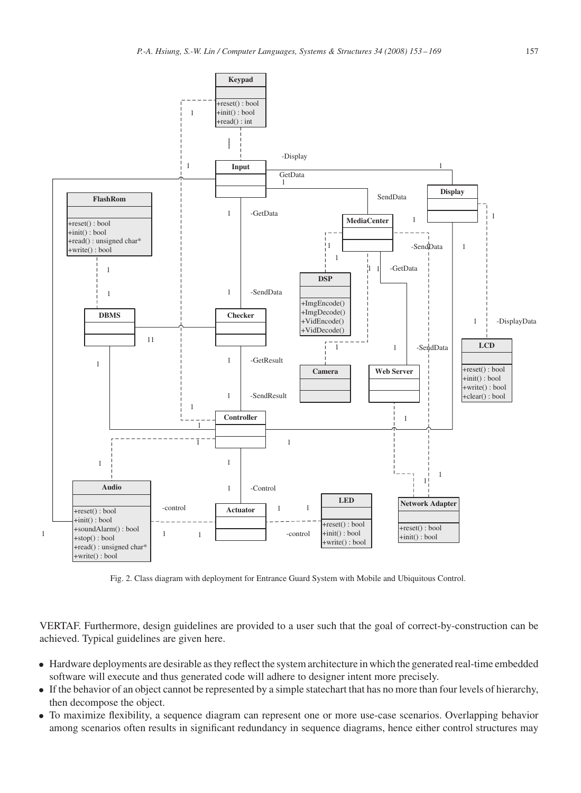<span id="page-4-0"></span>

Fig. 2. Class diagram with deployment for Entrance Guard System with Mobile and Ubiquitous Control.

VERTAF. Furthermore, design guidelines are provided to a user such that the goal of correct-by-construction can be achieved. Typical guidelines are given here.

- Hardware deployments are desirable as they reflect the system architecture in which the generated real-time embedded software will execute and thus generated code will adhere to designer intent more precisely.
- If the behavior of an object cannot be represented by a simple statechart that has no more than four levels of hierarchy, then decompose the object.
- To maximize flexibility, a sequence diagram can represent one or more use-case scenarios. Overlapping behavior among scenarios often results in significant redundancy in sequence diagrams, hence either control structures may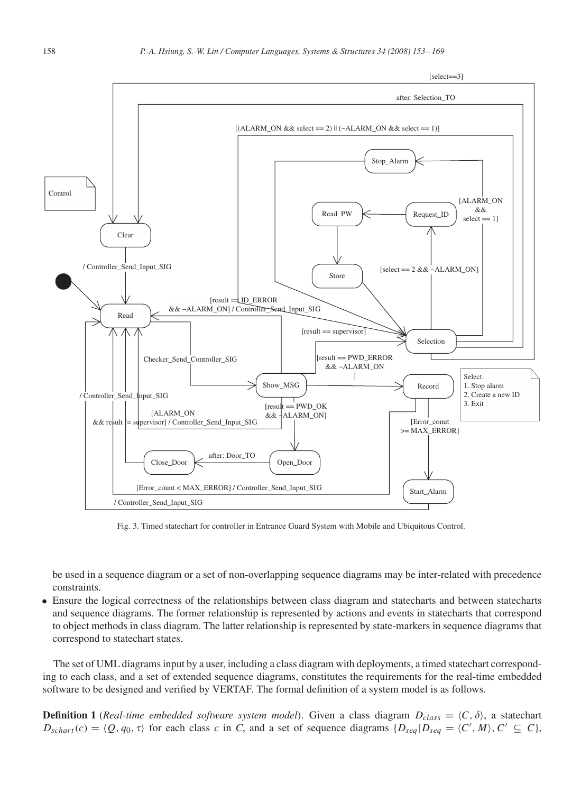<span id="page-5-0"></span>

Fig. 3. Timed statechart for controller in Entrance Guard System with Mobile and Ubiquitous Control.

be used in a sequence diagram or a set of non-overlapping sequence diagrams may be inter-related with precedence constraints.

• Ensure the logical correctness of the relationships between class diagram and statecharts and between statecharts and sequence diagrams. The former relationship is represented by actions and events in statecharts that correspond to object methods in class diagram. The latter relationship is represented by state-markers in sequence diagrams that correspond to statechart states.

The set of UML diagrams input by a user, including a class diagram with deployments, a timed statechart corresponding to each class, and a set of extended sequence diagrams, constitutes the requirements for the real-time embedded software to be designed and verified by VERTAF. The formal definition of a system model is as follows.

**Definition 1** (*Real-time embedded software system model*). Given a class diagram  $D_{class} = \langle C, \delta \rangle$ , a statechart  $D_{schart}(c) = \langle Q, q_0, \tau \rangle$  for each class *c* in *C*, and a set of sequence diagrams  $\{D_{seq} | D_{seq} = \langle C', M \rangle, C' \subseteq C\}$ ,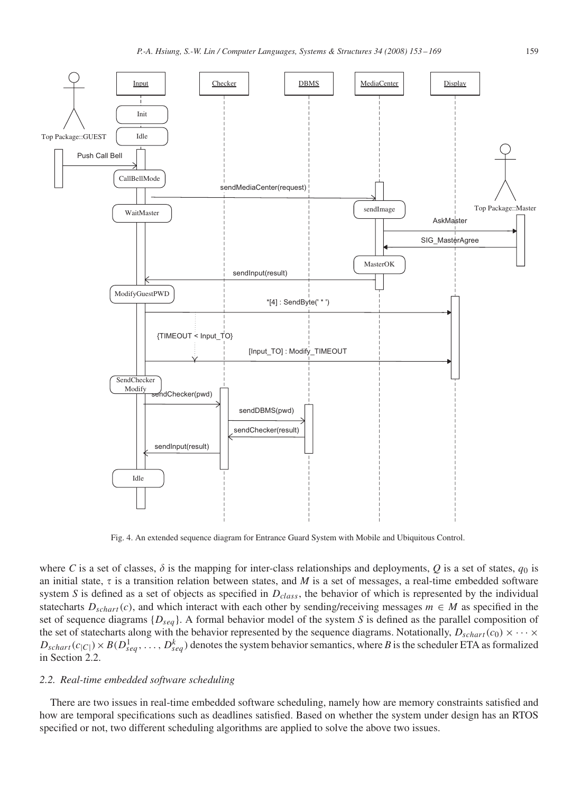<span id="page-6-0"></span>

Fig. 4. An extended sequence diagram for Entrance Guard System with Mobile and Ubiquitous Control.

where *C* is a set of classes,  $\delta$  is the mapping for inter-class relationships and deployments,  $Q$  is a set of states,  $q_0$  is an initial state,  $\tau$  is a transition relation between states, and *M* is a set of messages, a real-time embedded software system *S* is defined as a set of objects as specified in *Dclass*, the behavior of which is represented by the individual statecharts  $D_{schar}(c)$ , and which interact with each other by sending/receiving messages  $m \in M$  as specified in the set of sequence diagrams {*Dseq* }. A formal behavior model of the system *S* is defined as the parallel composition of the set of statecharts along with the behavior represented by the sequence diagrams. Notationally,  $D_{schart}(c_0) \times \cdots \times$  $D_{schart}(c_{|C|}) \times B(D_{seq}^1, \ldots, D_{seq}^k)$  denotes the system behavior semantics, where *B* is the scheduler ETA as formalized in Section 2.2.

### *2.2. Real-time embedded software scheduling*

There are two issues in real-time embedded software scheduling, namely how are memory constraints satisfied and how are temporal specifications such as deadlines satisfied. Based on whether the system under design has an RTOS specified or not, two different scheduling algorithms are applied to solve the above two issues.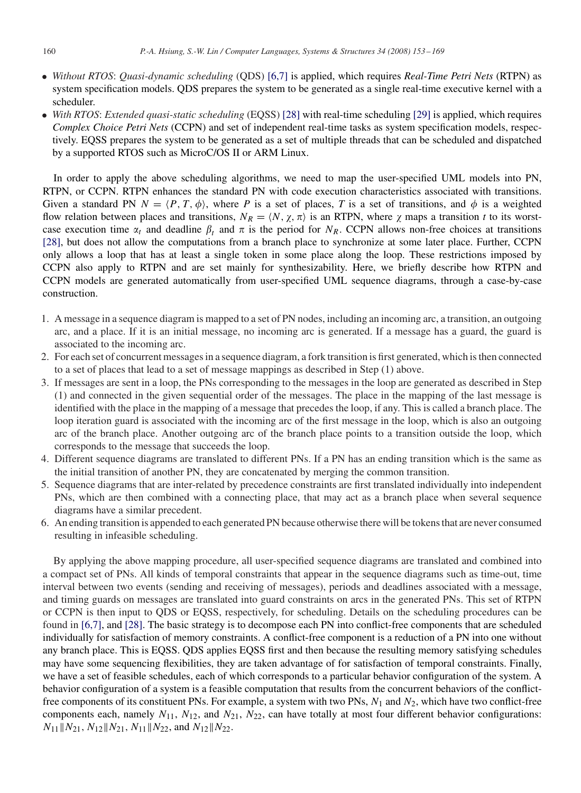- *Without RTOS*: *Quasi-dynamic scheduling* (QDS) [6,7] is applied, which requires *Real-Time Petri Nets* (RTPN) as system specification models. QDS prepares the system to be generated as a single real-time executive kernel with a scheduler.
- *With RTOS*: *Extended quasi-static scheduling* (EQSS) [\[28\]](#page-16-0) with real-time scheduling [\[29\]](#page-16-0) is applied, which requires *Complex Choice Petri Nets* (CCPN) and set of independent real-time tasks as system specification models, respectively. EQSS prepares the system to be generated as a set of multiple threads that can be scheduled and dispatched by a supported RTOS such as MicroC/OS II or ARM Linux.

In order to apply the above scheduling algorithms, we need to map the user-specified UML models into PN, RTPN, or CCPN. RTPN enhances the standard PN with code execution characteristics associated with transitions. Given a standard PN  $N = \langle P, T, \phi \rangle$ , where P is a set of places, T is a set of transitions, and  $\phi$  is a weighted flow relation between places and transitions,  $N_R = \langle N, \chi, \pi \rangle$  is an RTPN, where  $\chi$  maps a transition *t* to its worstcase execution time  $\alpha_t$  and deadline  $\beta_t$  and  $\pi$  is the period for  $N_R$ . CCPN allows non-free choices at transitions [\[28\],](#page-16-0) but does not allow the computations from a branch place to synchronize at some later place. Further, CCPN only allows a loop that has at least a single token in some place along the loop. These restrictions imposed by CCPN also apply to RTPN and are set mainly for synthesizability. Here, we briefly describe how RTPN and CCPN models are generated automatically from user-specified UML sequence diagrams, through a case-by-case construction.

- 1. A message in a sequence diagram is mapped to a set of PN nodes, including an incoming arc, a transition, an outgoing arc, and a place. If it is an initial message, no incoming arc is generated. If a message has a guard, the guard is associated to the incoming arc.
- 2. For each set of concurrent messages in a sequence diagram, a fork transition is first generated, which is then connected to a set of places that lead to a set of message mappings as described in Step (1) above.
- 3. If messages are sent in a loop, the PNs corresponding to the messages in the loop are generated as described in Step (1) and connected in the given sequential order of the messages. The place in the mapping of the last message is identified with the place in the mapping of a message that precedes the loop, if any. This is called a branch place. The loop iteration guard is associated with the incoming arc of the first message in the loop, which is also an outgoing arc of the branch place. Another outgoing arc of the branch place points to a transition outside the loop, which corresponds to the message that succeeds the loop.
- 4. Different sequence diagrams are translated to different PNs. If a PN has an ending transition which is the same as the initial transition of another PN, they are concatenated by merging the common transition.
- 5. Sequence diagrams that are inter-related by precedence constraints are first translated individually into independent PNs, which are then combined with a connecting place, that may act as a branch place when several sequence diagrams have a similar precedent.
- 6. An ending transition is appended to each generated PN because otherwise there will be tokens that are never consumed resulting in infeasible scheduling.

By applying the above mapping procedure, all user-specified sequence diagrams are translated and combined into a compact set of PNs. All kinds of temporal constraints that appear in the sequence diagrams such as time-out, time interval between two events (sending and receiving of messages), periods and deadlines associated with a message, and timing guards on messages are translated into guard constraints on arcs in the generated PNs. This set of RTPN or CCPN is then input to QDS or EQSS, respectively, for scheduling. Details on the scheduling procedures can be found in [6,7], and [\[28\].](#page-16-0) The basic strategy is to decompose each PN into conflict-free components that are scheduled individually for satisfaction of memory constraints. A conflict-free component is a reduction of a PN into one without any branch place. This is EQSS. QDS applies EQSS first and then because the resulting memory satisfying schedules may have some sequencing flexibilities, they are taken advantage of for satisfaction of temporal constraints. Finally, we have a set of feasible schedules, each of which corresponds to a particular behavior configuration of the system. A behavior configuration of a system is a feasible computation that results from the concurrent behaviors of the conflictfree components of its constituent PNs. For example, a system with two PNs, *N*<sup>1</sup> and *N*2, which have two conflict-free components each, namely  $N_{11}$ ,  $N_{12}$ , and  $N_{21}$ ,  $N_{22}$ , can have totally at most four different behavior configurations:  $N_{11}$  ||  $N_{21}$ *, N*<sub>12</sub> ||  $N_{21}$ *, N*<sub>11</sub> ||  $N_{22}$ *,* and  $N_{12}$  ||  $N_{22}$ *.*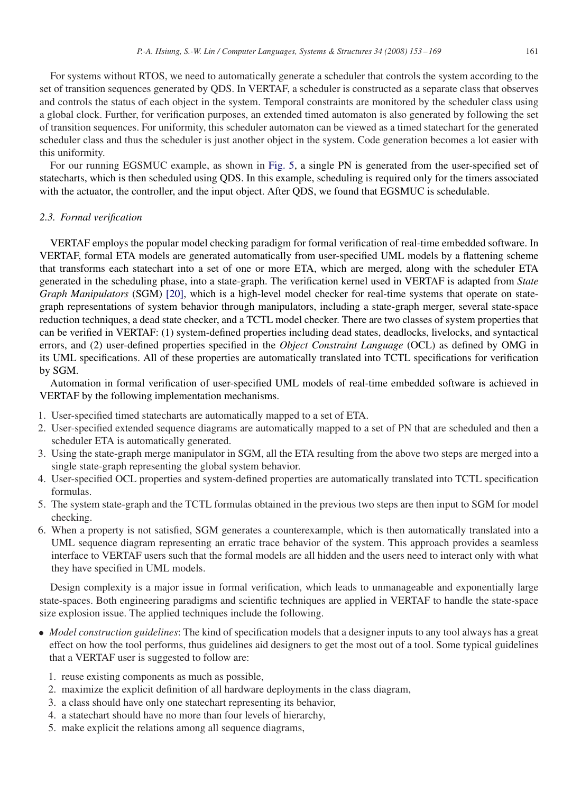For systems without RTOS, we need to automatically generate a scheduler that controls the system according to the set of transition sequences generated by QDS. In VERTAF, a scheduler is constructed as a separate class that observes and controls the status of each object in the system. Temporal constraints are monitored by the scheduler class using a global clock. Further, for verification purposes, an extended timed automaton is also generated by following the set of transition sequences. For uniformity, this scheduler automaton can be viewed as a timed statechart for the generated scheduler class and thus the scheduler is just another object in the system. Code generation becomes a lot easier with this uniformity.

For our running EGSMUC example, as shown in [Fig. 5,](#page-9-0) a single PN is generated from the user-specified set of statecharts, which is then scheduled using QDS. In this example, scheduling is required only for the timers associated with the actuator, the controller, and the input object. After QDS, we found that EGSMUC is schedulable.

# *2.3. Formal verification*

VERTAF employs the popular model checking paradigm for formal verification of real-time embedded software. In VERTAF, formal ETA models are generated automatically from user-specified UML models by a flattening scheme that transforms each statechart into a set of one or more ETA, which are merged, along with the scheduler ETA generated in the scheduling phase, into a state-graph. The verification kernel used in VERTAF is adapted from *State Graph Manipulators* (SGM) [\[20\],](#page-16-0) which is a high-level model checker for real-time systems that operate on stategraph representations of system behavior through manipulators, including a state-graph merger, several state-space reduction techniques, a dead state checker, and a TCTL model checker. There are two classes of system properties that can be verified in VERTAF: (1) system-defined properties including dead states, deadlocks, livelocks, and syntactical errors, and (2) user-defined properties specified in the *Object Constraint Language* (OCL) as defined by OMG in its UML specifications. All of these properties are automatically translated into TCTL specifications for verification by SGM.

Automation in formal verification of user-specified UML models of real-time embedded software is achieved in VERTAF by the following implementation mechanisms.

- 1. User-specified timed statecharts are automatically mapped to a set of ETA.
- 2. User-specified extended sequence diagrams are automatically mapped to a set of PN that are scheduled and then a scheduler ETA is automatically generated.
- 3. Using the state-graph merge manipulator in SGM, all the ETA resulting from the above two steps are merged into a single state-graph representing the global system behavior.
- 4. User-specified OCL properties and system-defined properties are automatically translated into TCTL specification formulas.
- 5. The system state-graph and the TCTL formulas obtained in the previous two steps are then input to SGM for model checking.
- 6. When a property is not satisfied, SGM generates a counterexample, which is then automatically translated into a UML sequence diagram representing an erratic trace behavior of the system. This approach provides a seamless interface to VERTAF users such that the formal models are all hidden and the users need to interact only with what they have specified in UML models.

Design complexity is a major issue in formal verification, which leads to unmanageable and exponentially large state-spaces. Both engineering paradigms and scientific techniques are applied in VERTAF to handle the state-space size explosion issue. The applied techniques include the following.

- *Model construction guidelines*: The kind of specification models that a designer inputs to any tool always has a great effect on how the tool performs, thus guidelines aid designers to get the most out of a tool. Some typical guidelines that a VERTAF user is suggested to follow are:
	- 1. reuse existing components as much as possible,
	- 2. maximize the explicit definition of all hardware deployments in the class diagram,
	- 3. a class should have only one statechart representing its behavior,
	- 4. a statechart should have no more than four levels of hierarchy,
	- 5. make explicit the relations among all sequence diagrams,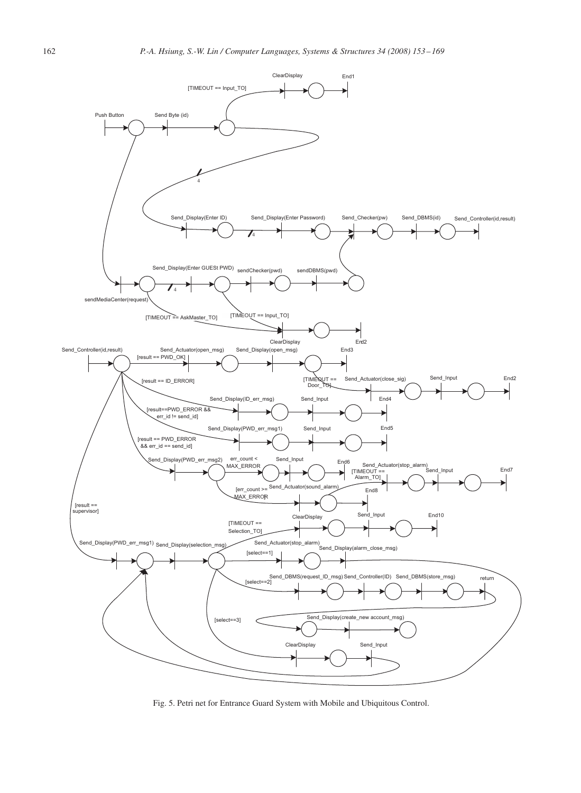<span id="page-9-0"></span>

Fig. 5. Petri net for Entrance Guard System with Mobile and Ubiquitous Control.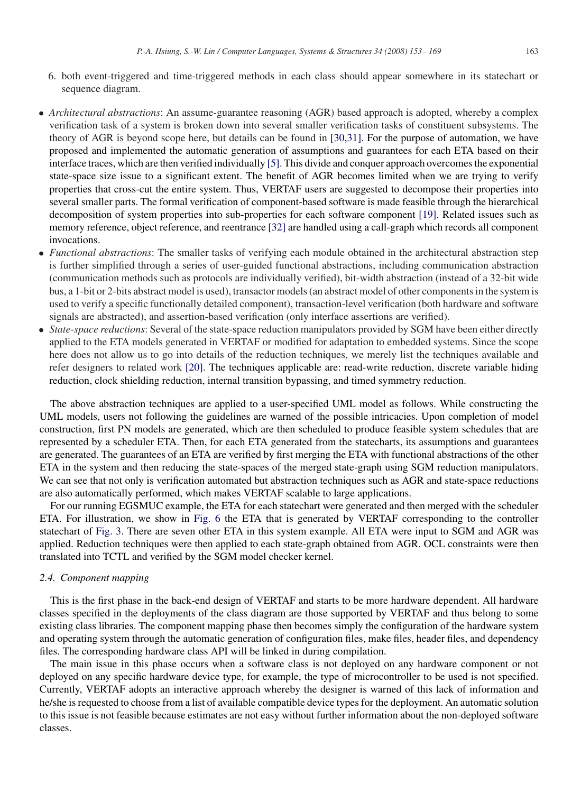- 6. both event-triggered and time-triggered methods in each class should appear somewhere in its statechart or sequence diagram.
- *Architectural abstractions*: An assume-guarantee reasoning (AGR) based approach is adopted, whereby a complex verification task of a system is broken down into several smaller verification tasks of constituent subsystems. The theory of AGR is beyond scope here, but details can be found in [30,31]. For the purpose of automation, we have proposed and implemented the automatic generation of assumptions and guarantees for each ETA based on their interface traces, which are then verified individually [\[5\].](#page-15-0) This divide and conquer approach overcomes the exponential state-space size issue to a significant extent. The benefit of AGR becomes limited when we are trying to verify properties that cross-cut the entire system. Thus, VERTAF users are suggested to decompose their properties into several smaller parts. The formal verification of component-based software is made feasible through the hierarchical decomposition of system properties into sub-properties for each software component [\[19\].](#page-16-0) Related issues such as memory reference, object reference, and reentrance [\[32\]](#page-16-0) are handled using a call-graph which records all component invocations.
- *Functional abstractions*: The smaller tasks of verifying each module obtained in the architectural abstraction step is further simplified through a series of user-guided functional abstractions, including communication abstraction (communication methods such as protocols are individually verified), bit-width abstraction (instead of a 32-bit wide bus, a 1-bit or 2-bits abstract model is used), transactor models (an abstract model of other components in the system is used to verify a specific functionally detailed component), transaction-level verification (both hardware and software signals are abstracted), and assertion-based verification (only interface assertions are verified).
- *State-space reductions*: Several of the state-space reduction manipulators provided by SGM have been either directly applied to the ETA models generated in VERTAF or modified for adaptation to embedded systems. Since the scope here does not allow us to go into details of the reduction techniques, we merely list the techniques available and refer designers to related work [\[20\].](#page-16-0) The techniques applicable are: read-write reduction, discrete variable hiding reduction, clock shielding reduction, internal transition bypassing, and timed symmetry reduction.

The above abstraction techniques are applied to a user-specified UML model as follows. While constructing the UML models, users not following the guidelines are warned of the possible intricacies. Upon completion of model construction, first PN models are generated, which are then scheduled to produce feasible system schedules that are represented by a scheduler ETA. Then, for each ETA generated from the statecharts, its assumptions and guarantees are generated. The guarantees of an ETA are verified by first merging the ETA with functional abstractions of the other ETA in the system and then reducing the state-spaces of the merged state-graph using SGM reduction manipulators. We can see that not only is verification automated but abstraction techniques such as AGR and state-space reductions are also automatically performed, which makes VERTAF scalable to large applications.

For our running EGSMUC example, the ETA for each statechart were generated and then merged with the scheduler ETA. For illustration, we show in [Fig. 6](#page-11-0) the ETA that is generated by VERTAF corresponding to the controller statechart of [Fig. 3.](#page-5-0) There are seven other ETA in this system example. All ETA were input to SGM and AGR was applied. Reduction techniques were then applied to each state-graph obtained from AGR. OCL constraints were then translated into TCTL and verified by the SGM model checker kernel.

# *2.4. Component mapping*

This is the first phase in the back-end design of VERTAF and starts to be more hardware dependent. All hardware classes specified in the deployments of the class diagram are those supported by VERTAF and thus belong to some existing class libraries. The component mapping phase then becomes simply the configuration of the hardware system and operating system through the automatic generation of configuration files, make files, header files, and dependency files. The corresponding hardware class API will be linked in during compilation.

The main issue in this phase occurs when a software class is not deployed on any hardware component or not deployed on any specific hardware device type, for example, the type of microcontroller to be used is not specified. Currently, VERTAF adopts an interactive approach whereby the designer is warned of this lack of information and he/she is requested to choose from a list of available compatible device types for the deployment. An automatic solution to this issue is not feasible because estimates are not easy without further information about the non-deployed software classes.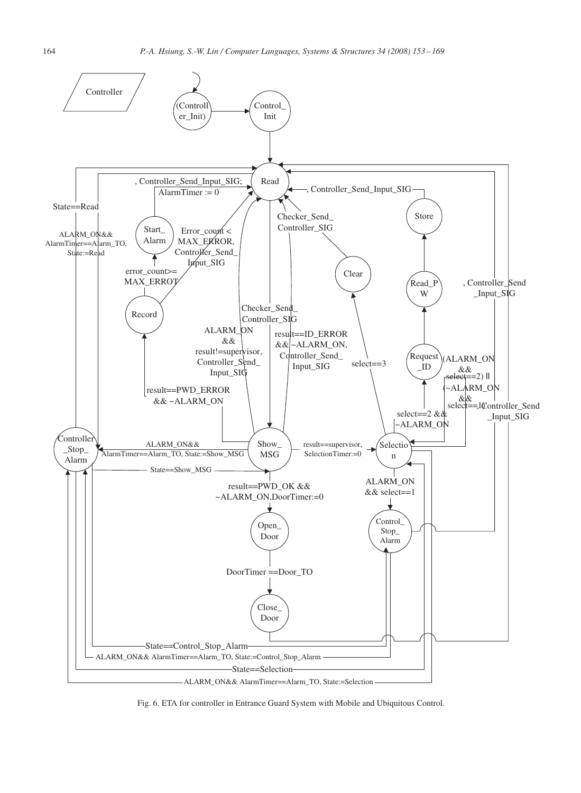<span id="page-11-0"></span>

Fig. 6. ETA for controller in Entrance Guard System with Mobile and Ubiquitous Control.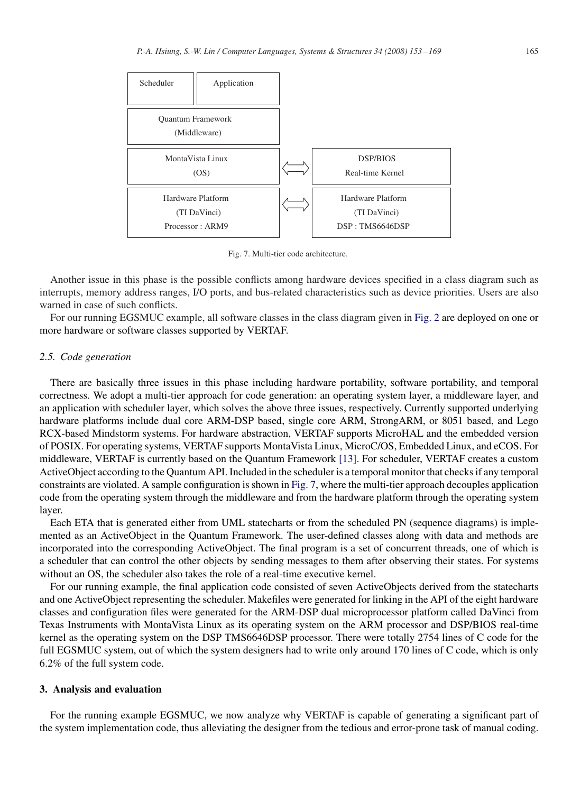

Fig. 7. Multi-tier code architecture.

Another issue in this phase is the possible conflicts among hardware devices specified in a class diagram such as interrupts, memory address ranges, I/O ports, and bus-related characteristics such as device priorities. Users are also warned in case of such conflicts.

For our running EGSMUC example, all software classes in the class diagram given in [Fig. 2](#page-4-0) are deployed on one or more hardware or software classes supported by VERTAF.

# *2.5. Code generation*

There are basically three issues in this phase including hardware portability, software portability, and temporal correctness. We adopt a multi-tier approach for code generation: an operating system layer, a middleware layer, and an application with scheduler layer, which solves the above three issues, respectively. Currently supported underlying hardware platforms include dual core ARM-DSP based, single core ARM, StrongARM, or 8051 based, and Lego RCX-based Mindstorm systems. For hardware abstraction, VERTAF supports MicroHAL and the embedded version of POSIX. For operating systems, VERTAF supports MontaVista Linux, MicroC/OS, Embedded Linux, and eCOS. For middleware, VERTAF is currently based on the Quantum Framework [\[13\].](#page-15-0) For scheduler, VERTAF creates a custom ActiveObject according to the Quantum API. Included in the scheduler is a temporal monitor that checks if any temporal constraints are violated. A sample configuration is shown in Fig. 7, where the multi-tier approach decouples application code from the operating system through the middleware and from the hardware platform through the operating system layer.

Each ETA that is generated either from UML statecharts or from the scheduled PN (sequence diagrams) is implemented as an ActiveObject in the Quantum Framework. The user-defined classes along with data and methods are incorporated into the corresponding ActiveObject. The final program is a set of concurrent threads, one of which is a scheduler that can control the other objects by sending messages to them after observing their states. For systems without an OS, the scheduler also takes the role of a real-time executive kernel.

For our running example, the final application code consisted of seven ActiveObjects derived from the statecharts and one ActiveObject representing the scheduler. Makefiles were generated for linking in the API of the eight hardware classes and configuration files were generated for the ARM-DSP dual microprocessor platform called DaVinci from Texas Instruments with MontaVista Linux as its operating system on the ARM processor and DSP/BIOS real-time kernel as the operating system on the DSP TMS6646DSP processor. There were totally 2754 lines of C code for the full EGSMUC system, out of which the system designers had to write only around 170 lines of C code, which is only 6.2% of the full system code.

#### **3. Analysis and evaluation**

For the running example EGSMUC, we now analyze why VERTAF is capable of generating a significant part of the system implementation code, thus alleviating the designer from the tedious and error-prone task of manual coding.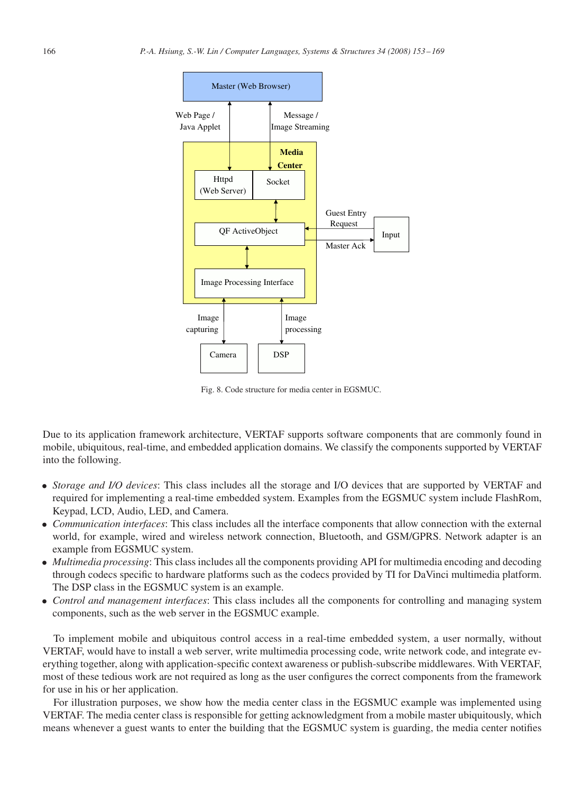<span id="page-13-0"></span>

Fig. 8. Code structure for media center in EGSMUC.

Due to its application framework architecture, VERTAF supports software components that are commonly found in mobile, ubiquitous, real-time, and embedded application domains. We classify the components supported by VERTAF into the following.

- *Storage and I/O devices*: This class includes all the storage and I/O devices that are supported by VERTAF and required for implementing a real-time embedded system. Examples from the EGSMUC system include FlashRom, Keypad, LCD, Audio, LED, and Camera.
- *Communication interfaces*: This class includes all the interface components that allow connection with the external world, for example, wired and wireless network connection, Bluetooth, and GSM/GPRS. Network adapter is an example from EGSMUC system.
- *Multimedia processing*: This class includes all the components providing API for multimedia encoding and decoding through codecs specific to hardware platforms such as the codecs provided by TI for DaVinci multimedia platform. The DSP class in the EGSMUC system is an example.
- *Control and management interfaces*: This class includes all the components for controlling and managing system components, such as the web server in the EGSMUC example.

To implement mobile and ubiquitous control access in a real-time embedded system, a user normally, without VERTAF, would have to install a web server, write multimedia processing code, write network code, and integrate everything together, along with application-specific context awareness or publish-subscribe middlewares. With VERTAF, most of these tedious work are not required as long as the user configures the correct components from the framework for use in his or her application.

For illustration purposes, we show how the media center class in the EGSMUC example was implemented using VERTAF. The media center class is responsible for getting acknowledgment from a mobile master ubiquitously, which means whenever a guest wants to enter the building that the EGSMUC system is guarding, the media center notifies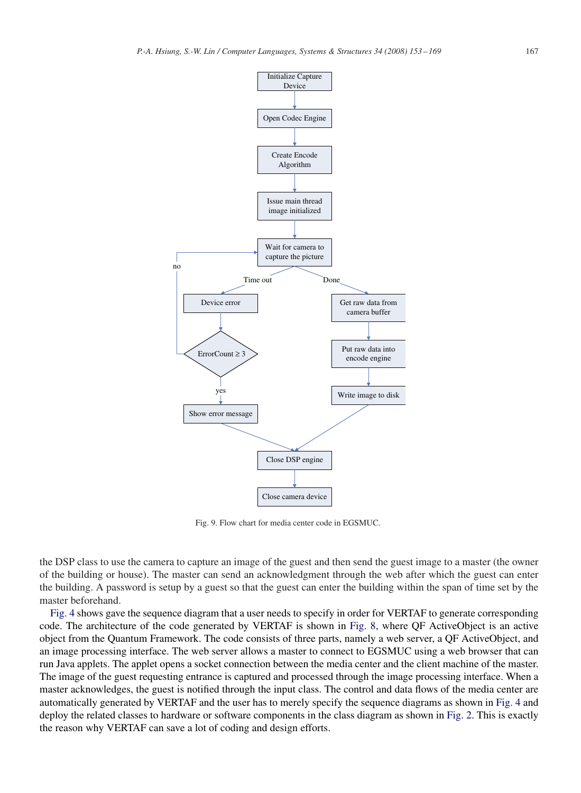<span id="page-14-0"></span>

Fig. 9. Flow chart for media center code in EGSMUC.

the DSP class to use the camera to capture an image of the guest and then send the guest image to a master (the owner of the building or house). The master can send an acknowledgment through the web after which the guest can enter the building. A password is setup by a guest so that the guest can enter the building within the span of time set by the master beforehand.

[Fig. 4](#page-6-0) shows gave the sequence diagram that a user needs to specify in order for VERTAF to generate corresponding code. The architecture of the code generated by VERTAF is shown in [Fig. 8,](#page-13-0) where QF ActiveObject is an active object from the Quantum Framework. The code consists of three parts, namely a web server, a QF ActiveObject, and an image processing interface. The web server allows a master to connect to EGSMUC using a web browser that can run Java applets. The applet opens a socket connection between the media center and the client machine of the master. The image of the guest requesting entrance is captured and processed through the image processing interface. When a master acknowledges, the guest is notified through the input class. The control and data flows of the media center are automatically generated by VERTAF and the user has to merely specify the sequence diagrams as shown in [Fig. 4](#page-6-0) and deploy the related classes to hardware or software components in the class diagram as shown in [Fig. 2.](#page-4-0) This is exactly the reason why VERTAF can save a lot of coding and design efforts.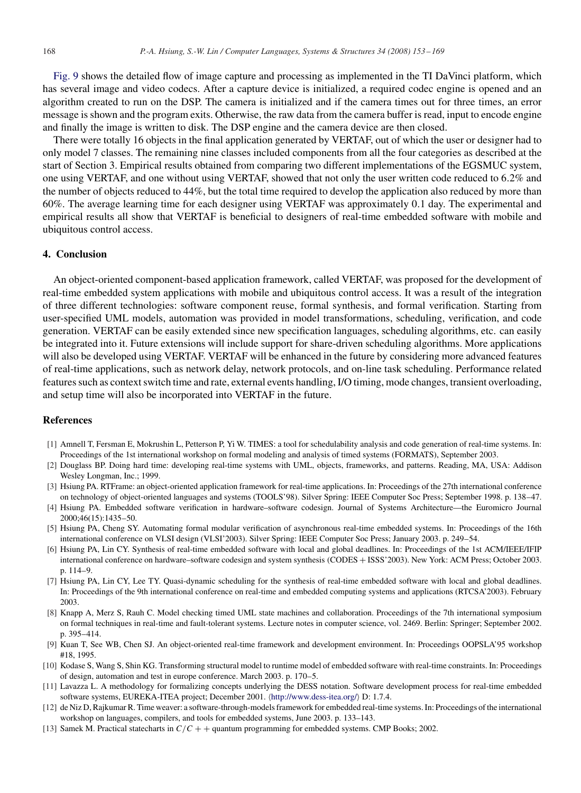<span id="page-15-0"></span>[Fig. 9](#page-14-0) shows the detailed flow of image capture and processing as implemented in the TI DaVinci platform, which has several image and video codecs. After a capture device is initialized, a required codec engine is opened and an algorithm created to run on the DSP. The camera is initialized and if the camera times out for three times, an error message is shown and the program exits. Otherwise, the raw data from the camera buffer is read, input to encode engine and finally the image is written to disk. The DSP engine and the camera device are then closed.

There were totally 16 objects in the final application generated by VERTAF, out of which the user or designer had to only model 7 classes. The remaining nine classes included components from all the four categories as described at the start of Section 3. Empirical results obtained from comparing two different implementations of the EGSMUC system, one using VERTAF, and one without using VERTAF, showed that not only the user written code reduced to 6*.*2% and the number of objects reduced to 44%, but the total time required to develop the application also reduced by more than 60%. The average learning time for each designer using VERTAF was approximately 0*.*1 day. The experimental and empirical results all show that VERTAF is beneficial to designers of real-time embedded software with mobile and ubiquitous control access.

### **4. Conclusion**

An object-oriented component-based application framework, called VERTAF, was proposed for the development of real-time embedded system applications with mobile and ubiquitous control access. It was a result of the integration of three different technologies: software component reuse, formal synthesis, and formal verification. Starting from user-specified UML models, automation was provided in model transformations, scheduling, verification, and code generation. VERTAF can be easily extended since new specification languages, scheduling algorithms, etc. can easily be integrated into it. Future extensions will include support for share-driven scheduling algorithms. More applications will also be developed using VERTAF. VERTAF will be enhanced in the future by considering more advanced features of real-time applications, such as network delay, network protocols, and on-line task scheduling. Performance related features such as context switch time and rate, external events handling, I/O timing, mode changes, transient overloading, and setup time will also be incorporated into VERTAF in the future.

#### **References**

- [1] Amnell T, Fersman E, Mokrushin L, Petterson P, Yi W. TIMES: a tool for schedulability analysis and code generation of real-time systems. In: Proceedings of the 1st international workshop on formal modeling and analysis of timed systems (FORMATS), September 2003.
- [2] Douglass BP. Doing hard time: developing real-time systems with UML, objects, frameworks, and patterns. Reading, MA, USA: Addison Wesley Longman, Inc.; 1999.
- [3] Hsiung PA. RTFrame: an object-oriented application framework for real-time applications. In: Proceedings of the 27th international conference on technology of object-oriented languages and systems (TOOLS'98). Silver Spring: IEEE Computer Soc Press; September 1998. p. 138–47.
- [4] Hsiung PA. Embedded software verification in hardware–software codesign. Journal of Systems Architecture—the Euromicro Journal 2000;46(15):1435–50.
- [5] Hsiung PA, Cheng SY. Automating formal modular verification of asynchronous real-time embedded systems. In: Proceedings of the 16th international conference on VLSI design (VLSI'2003). Silver Spring: IEEE Computer Soc Press; January 2003. p. 249–54.
- [6] Hsiung PA, Lin CY. Synthesis of real-time embedded software with local and global deadlines. In: Proceedings of the 1st ACM/IEEE/IFIP international conference on hardware–software codesign and system synthesis *(*CODES + ISSS'2003). New York: ACM Press; October 2003. p. 114–9.
- [7] Hsiung PA, Lin CY, Lee TY. Quasi-dynamic scheduling for the synthesis of real-time embedded software with local and global deadlines. In: Proceedings of the 9th international conference on real-time and embedded computing systems and applications (RTCSA'2003). February 2003.
- [8] Knapp A, Merz S, Rauh C. Model checking timed UML state machines and collaboration. Proceedings of the 7th international symposium on formal techniques in real-time and fault-tolerant systems. Lecture notes in computer science, vol. 2469. Berlin: Springer; September 2002. p. 395–414.
- [9] Kuan T, See WB, Chen SJ. An object-oriented real-time framework and development environment. In: Proceedings OOPSLA'95 workshop #18, 1995.
- [10] Kodase S, Wang S, Shin KG. Transforming structural model to runtime model of embedded software with real-time constraints. In: Proceedings of design, automation and test in europe conference. March 2003. p. 170–5.
- [11] Lavazza L. A methodology for formalizing concepts underlying the DESS notation. Software development process for real-time embedded software systems, EUREKA-ITEA project; December 2001.  $\langle$ [http://www.dess-itea.org/](http://www.dess-itea.org) $\rangle$  D: 1.7.4.
- [12] de Niz D, Rajkumar R. Time weaver: a software-through-models framework for embedded real-time systems. In: Proceedings of the international workshop on languages, compilers, and tools for embedded systems, June 2003. p. 133–143.
- [13] Samek M. Practical statecharts in *C/C* + + quantum programming for embedded systems. CMP Books; 2002.